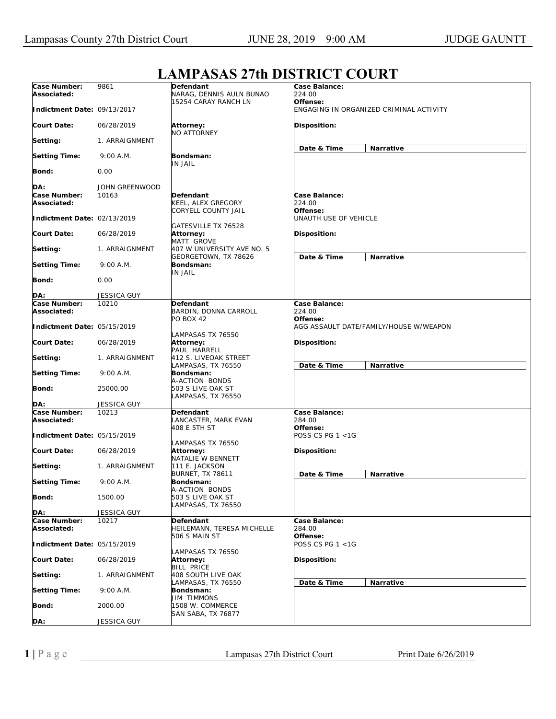## **Case Number: Associated: Indictment Date:**  09/13/2017 **Court Date: Setting: Setting Time: Bond: DA:** 9861 06/28/2019 1. ARRAIGNMENT 9:00 A.M.  $0.00$ JOHN GREENWOOD **Defendant**  NARAG, DENNIS AULN BUNAO 15254 CARAY RANCH LN **Attorney:**  NO ATTORNEY **Bondsman:**  IN JAIL **Case Balance:**  *224.00*  **Offense:**  *ENGAGING IN ORGANIZED CRIMINAL ACTIVITY*  **Disposition: Date & Time Narrative Case Number: Associated: Indictment Date:**  02/13/2019 **Court Date: Setting: Setting Time: Bond: DA:** 10163 06/28/2019 1. ARRAIGNMENT 9:00 A.M. 0.00 JESSICA GUY **Defendant**  KEEL, ALEX GREGORY CORYELL COUNTY JAIL GATESVILLE TX 76528 **Attorney:**  MATT GROVE 407 W UNIVERSITY AVE NO. 5 GEORGETOWN, TX 78626 **Bondsman:**  IN JAIL **Case Balance:**  *224.00*  **Offense:**  *UNAUTH USE OF VEHICLE*  **Disposition: Date & Time Narrative Case Number: Associated: Indictment Date:**  05/15/2019 **Court Date: Setting: Setting Time: Bond: DA:** 10210 06/28/2019 1. ARRAIGNMENT 9:00 A.M. 25000.00 JESSICA GUY **Defendant**  BARDIN, DONNA CARROLL PO BOX 42 LAMPASAS TX 76550 **Attorney:**  PAUL HARRELL 412 S. LIVEOAK STREET LAMPASAS, TX 76550 **Bondsman:**  A-ACTION BONDS 503 S LIVE OAK ST LAMPASAS, TX 76550 **Case Balance:**  *224.00*  **Offense:**  *AGG ASSAULT DATE/FAMILY/HOUSE W/WEAPON*  **Disposition: Date & Time Narrative Case Number: Associated: Indictment Date:**  05/15/2019 **Court Date: Setting: Setting Time: Bond: DA:** 10213 06/28/2019 1. ARRAIGNMENT 9:00 A.M. 1500.00 JESSICA GUY **Defendant**  LANCASTER, MARK EVAN 408 E 5TH ST LAMPASAS TX 76550 **Attorney:**  NATALIE W BENNETT 111 E. JACKSON BURNET, TX 78611 **Bondsman:**  A-ACTION BONDS 503 S LIVE OAK ST LAMPASAS, TX 76550 **Case Balance:**  *284.00*  **Offense:**  *POSS CS PG 1 <1G*  **Disposition: Date & Time Narrative Case Number: Associated: Indictment Date:**  05/15/2019 **Court Date: Setting: Setting Time: Bond: DA:** 10217 06/28/2019 1. ARRAIGNMENT 9:00 A.M. 2000.00 JESSICA GUY **Defendant**  HEILEMANN, TERESA MICHELLE 506 S MAIN ST LAMPASAS TX 76550 **Attorney: BILL PRICE** 408 SOUTH LIVE OAK LAMPASAS, TX 76550 **Bondsman:**  JIM TIMMONS 1508 W. COMMERCE SAN SABA, TX 76877 **Case Balance:**  *284.00*  **Offense:**  *POSS CS PG 1 <1G*  **Disposition: Date & Time Narrative**

## **LAMPASAS 27th DISTRICT COURT**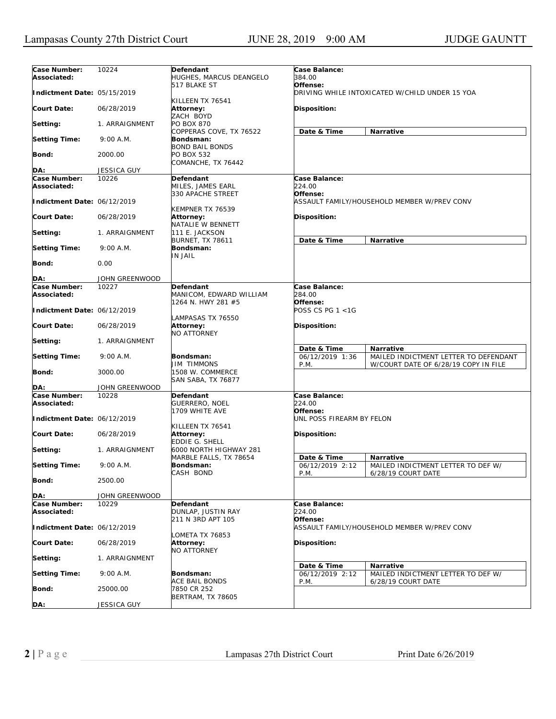| Case Number:<br>Associated: | 10224              | Defendant<br>HUGHES, MARCUS DEANGELO             | Case Balance:<br>384.00             |                                                                               |
|-----------------------------|--------------------|--------------------------------------------------|-------------------------------------|-------------------------------------------------------------------------------|
| Indictment Date: 05/15/2019 |                    | 517 BLAKE ST<br>KILLEEN TX 76541                 | Offense:                            | DRIVING WHILE INTOXICATED W/CHILD UNDER 15 YOA                                |
| Court Date:                 | 06/28/2019         | Attorney:<br>ZACH BOYD                           | <b>Disposition:</b>                 |                                                                               |
| Setting:                    | 1. ARRAIGNMENT     | <b>PO BOX 870</b><br>COPPERAS COVE, TX 76522     | Date & Time                         | Narrative                                                                     |
| <b>Setting Time:</b>        | 9:00 A.M.          | Bondsman:<br><b>BOND BAIL BONDS</b>              |                                     |                                                                               |
| Bond:                       | 2000.00            | PO BOX 532<br>COMANCHE, TX 76442                 |                                     |                                                                               |
| DA:                         | <b>JESSICA GUY</b> |                                                  |                                     |                                                                               |
| Case Number:                | 10226              | Defendant                                        | Case Balance:                       |                                                                               |
| Associated:                 |                    | MILES, JAMES EARL<br>330 APACHE STREET           | 224.00<br>Offense:                  |                                                                               |
| Indictment Date: 06/12/2019 |                    | KEMPNER TX 76539                                 |                                     | ASSAULT FAMILY/HOUSEHOLD MEMBER W/PREV CONV                                   |
| <b>Court Date:</b>          | 06/28/2019         | Attorney:<br>NATALIE W BENNETT                   | <b>Disposition:</b>                 |                                                                               |
| Setting:                    | 1. ARRAIGNMENT     | 111 E. JACKSON<br><b>BURNET, TX 78611</b>        | Date & Time                         | Narrative                                                                     |
| <b>Setting Time:</b>        | 9:00 A.M.          | Bondsman:<br>IN JAIL                             |                                     |                                                                               |
| Bond:                       | 0.00               |                                                  |                                     |                                                                               |
| DA:                         | JOHN GREENWOOD     |                                                  |                                     |                                                                               |
| Case Number:                | 10227              | <b>Defendant</b>                                 | Case Balance:                       |                                                                               |
| Associated:                 |                    | MANICOM, EDWARD WILLIAM                          | 284.00                              |                                                                               |
| Indictment Date: 06/12/2019 |                    | 1264 N. HWY 281 #5                               | Offense:<br>POSS CS PG 1 <1G        |                                                                               |
| <b>Court Date:</b>          | 06/28/2019         | LAMPASAS TX 76550<br>Attorney:<br>NO ATTORNEY    | Disposition:                        |                                                                               |
| Setting:                    | 1. ARRAIGNMENT     |                                                  | Date & Time                         | <b>Narrative</b>                                                              |
| <b>Setting Time:</b>        | 9:00 A.M.          | Bondsman:<br>JIM TIMMONS                         | 06/12/2019 1:36<br>P.M.             | MAILED INDICTMENT LETTER TO DEFENDANT<br>W/COURT DATE OF 6/28/19 COPY IN FILE |
| Bond:                       | 3000.00            | 1508 W. COMMERCE<br>SAN SABA, TX 76877           |                                     |                                                                               |
| DA:                         | JOHN GREENWOOD     |                                                  |                                     |                                                                               |
| Case Number:<br>Associated: | 10228              | Defendant<br>GUERRERO, NOEL<br>1709 WHITE AVE    | Case Balance:<br>224.00<br>Offense: |                                                                               |
| Indictment Date: 06/12/2019 |                    | KILLEEN TX 76541                                 | UNL POSS FIREARM BY FELON           |                                                                               |
| <b>Court Date:</b>          | 06/28/2019         | Attorney:<br>EDDIE G. SHELL                      | <b>Disposition:</b>                 |                                                                               |
| Setting:                    | 1. ARRAIGNMENT     | 6000 NORTH HIGHWAY 281<br>MARBLE FALLS, TX 78654 | Date & Time                         | Narrative                                                                     |
| <b>Setting Time:</b>        | 9:00 A.M.          | Bondsman:<br>CASH BOND                           | 06/12/2019 2:12<br>P.M.             | MAILED INDICTMENT LETTER TO DEF W/<br>6/28/19 COURT DATE                      |
| <b>Bond:</b>                | 2500.00            |                                                  |                                     |                                                                               |
| DA:                         | JOHN GREENWOOD     |                                                  |                                     |                                                                               |
| Case Number:<br>Associated: | 10229              | Defendant<br>DUNLAP, JUSTIN RAY                  | Case Balance:<br>224.00             |                                                                               |
| Indictment Date: 06/12/2019 |                    | 211 N 3RD APT 105                                | Offense:                            | ASSAULT FAMILY/HOUSEHOLD MEMBER W/PREV CONV                                   |
| <b>Court Date:</b>          | 06/28/2019         | LOMETA TX 76853<br>Attorney:<br>NO ATTORNEY      | Disposition:                        |                                                                               |
| Setting:                    | 1. ARRAIGNMENT     |                                                  | Date & Time                         | <b>Narrative</b>                                                              |
| <b>Setting Time:</b>        | 9:00 A.M.          | Bondsman:<br>ACE BAIL BONDS                      | 06/12/2019 2:12<br>P.M.             | MAILED INDICTMENT LETTER TO DEF W/<br>6/28/19 COURT DATE                      |
| <b>Bond:</b>                | 25000.00           | 7850 CR 252<br><b>BERTRAM, TX 78605</b>          |                                     |                                                                               |
| DA:                         | JESSICA GUY        |                                                  |                                     |                                                                               |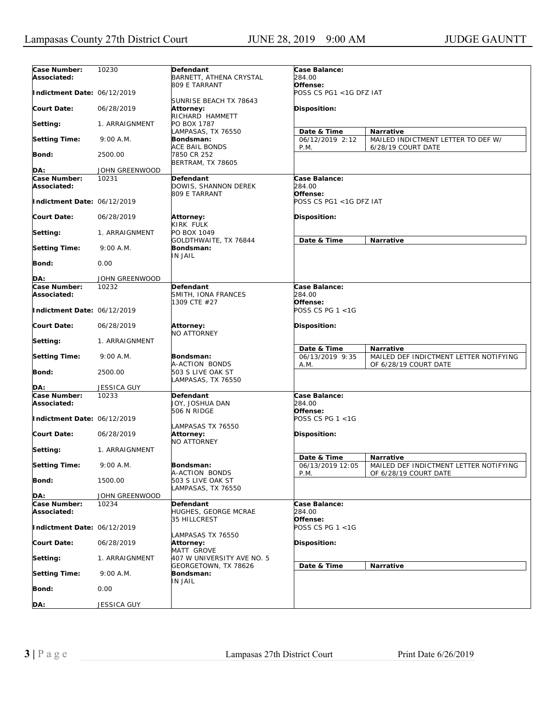| Case Number:<br>Associated: | 10230              | Defendant<br>BARNETT, ATHENA CRYSTAL    | Case Balance:<br>284.00 |                                        |
|-----------------------------|--------------------|-----------------------------------------|-------------------------|----------------------------------------|
|                             |                    | 809 E TARRANT                           | Offense:                |                                        |
| Indictment Date: 06/12/2019 |                    |                                         | POSS CS PG1 <1G DFZ IAT |                                        |
|                             |                    | SUNRISE BEACH TX 78643                  |                         |                                        |
| <b>Court Date:</b>          | 06/28/2019         | Attorney:                               | <b>Disposition:</b>     |                                        |
|                             |                    | RICHARD HAMMETT                         |                         |                                        |
| Setting:                    | 1. ARRAIGNMENT     | PO BOX 1787                             |                         |                                        |
|                             |                    | LAMPASAS, TX 76550                      | Date & Time             | Narrative                              |
| <b>Setting Time:</b>        | 9:00 A.M.          | Bondsman:                               | 06/12/2019 2:12         | MAILED INDICTMENT LETTER TO DEF W/     |
|                             |                    | ACE BAIL BONDS                          | P.M.                    | 6/28/19 COURT DATE                     |
| Bond:                       | 2500.00            | 7850 CR 252<br><b>BERTRAM, TX 78605</b> |                         |                                        |
| DA:                         | JOHN GREENWOOD     |                                         |                         |                                        |
| Case Number:                | 10231              | Defendant                               | Case Balance:           |                                        |
| Associated:                 |                    | DOWIS, SHANNON DEREK                    | 284.00                  |                                        |
|                             |                    | 809 E TARRANT                           | Offense:                |                                        |
| Indictment Date: 06/12/2019 |                    |                                         | POSS CS PG1 <1G DFZ IAT |                                        |
|                             |                    |                                         |                         |                                        |
| <b>Court Date:</b>          | 06/28/2019         | Attorney:                               | <b>Disposition:</b>     |                                        |
|                             |                    | KIRK FULK                               |                         |                                        |
| Setting:                    | 1. ARRAIGNMENT     | PO BOX 1049                             |                         | <b>Narrative</b>                       |
| <b>Setting Time:</b>        | 9:00 A.M.          | GOLDTHWAITE, TX 76844<br>Bondsman:      | Date & Time             |                                        |
|                             |                    | IN JAIL                                 |                         |                                        |
| Bond:                       | 0.00               |                                         |                         |                                        |
|                             |                    |                                         |                         |                                        |
| DA:                         | JOHN GREENWOOD     |                                         |                         |                                        |
| Case Number:                | 10232              | <b>Defendant</b>                        | Case Balance:           |                                        |
| Associated:                 |                    | SMITH, IONA FRANCES                     | 284.00                  |                                        |
|                             |                    | 1309 CTE #27                            | Offense:                |                                        |
| Indictment Date: 06/12/2019 |                    |                                         | POSS CS PG 1 <1G        |                                        |
| <b>Court Date:</b>          | 06/28/2019         | Attorney:                               |                         |                                        |
|                             |                    | <b>NO ATTORNEY</b>                      | <b>Disposition:</b>     |                                        |
| Setting:                    | 1. ARRAIGNMENT     |                                         |                         |                                        |
|                             |                    |                                         | Date & Time             | Narrative                              |
| <b>Setting Time:</b>        | 9:00 A.M.          | Bondsman:                               | 06/13/2019 9:35         | MAILED DEF INDICTMENT LETTER NOTIFYING |
|                             |                    | A-ACTION BONDS                          | A.M.                    | OF 6/28/19 COURT DATE                  |
| <b>Bond:</b>                | 2500.00            | 503 S LIVE OAK ST                       |                         |                                        |
|                             |                    | LAMPASAS, TX 76550                      |                         |                                        |
| DA:<br>Case Number:         | <b>JESSICA GUY</b> |                                         |                         |                                        |
| Associated:                 | 10233              | Defendant<br>JOY, JOSHUA DAN            | Case Balance:<br>284.00 |                                        |
|                             |                    | 506 N RIDGE                             | Offense:                |                                        |
| Indictment Date: 06/12/2019 |                    |                                         | POSS CS PG 1 <1G        |                                        |
|                             |                    | LAMPASAS TX 76550                       |                         |                                        |
| <b>Court Date:</b>          | 06/28/2019         | <b>Attorney:</b>                        | <b>Disposition:</b>     |                                        |
|                             |                    | <b>NO ATTORNEY</b>                      |                         |                                        |
| Setting:                    | 1. ARRAIGNMENT     |                                         |                         |                                        |
|                             |                    |                                         | Date & Time             | Narrative                              |
| <b>Setting Time:</b>        | 9:00 A.M.          | Bondsman:                               | 06/13/2019 12:05        | MAILED DEF INDICTMENT LETTER NOTIFYING |
| <b>Bond:</b>                | 1500.00            | A-ACTION BONDS<br>503 S LIVE OAK ST     | P.M.                    | OF 6/28/19 COURT DATE                  |
|                             |                    | LAMPASAS, TX 76550                      |                         |                                        |
| DA:                         | JOHN GREENWOOD     |                                         |                         |                                        |
| Case Number:                | 10234              | Defendant                               | Case Balance:           |                                        |
| Associated:                 |                    | HUGHES, GEORGE MCRAE                    | 284.00                  |                                        |
|                             |                    | 35 HILLCREST                            | Offense:                |                                        |
| Indictment Date: 06/12/2019 |                    |                                         | POSS CS PG 1 <1G        |                                        |
|                             |                    | LAMPASAS TX 76550                       |                         |                                        |
| <b>Court Date:</b>          | 06/28/2019         | Attorney:<br>MATT GROVE                 | Disposition:            |                                        |
| Setting:                    | 1. ARRAIGNMENT     | 407 W UNIVERSITY AVE NO. 5              |                         |                                        |
|                             |                    | GEORGETOWN, TX 78626                    | Date & Time             | Narrative                              |
| <b>Setting Time:</b>        | 9:00 A.M.          | Bondsman:                               |                         |                                        |
|                             |                    | IN JAIL                                 |                         |                                        |
| <b>Bond:</b>                | 0.00               |                                         |                         |                                        |
|                             |                    |                                         |                         |                                        |
| DA:                         | JESSICA GUY        |                                         |                         |                                        |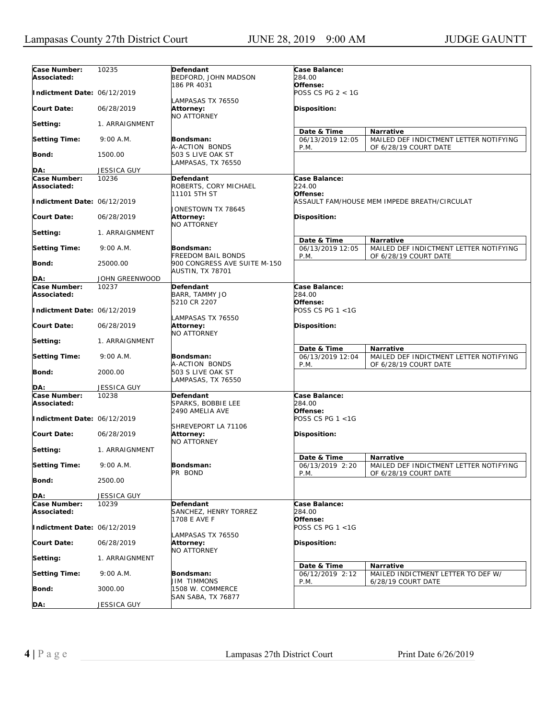| Case Number:<br>Associated: | 10235              | Defendant<br>BEDFORD, JOHN MADSON                           | Case Balance:<br>284.00                 |                                                                 |
|-----------------------------|--------------------|-------------------------------------------------------------|-----------------------------------------|-----------------------------------------------------------------|
| Indictment Date: 06/12/2019 |                    | 186 PR 4031                                                 | Offense:<br><i>POSS CS PG 2 &lt; 1G</i> |                                                                 |
| <b>Court Date:</b>          | 06/28/2019         | LAMPASAS TX 76550<br>Attorney:<br><b>NO ATTORNEY</b>        | <b>Disposition:</b>                     |                                                                 |
| Setting:                    | 1. ARRAIGNMENT     |                                                             | Date & Time                             | <b>Narrative</b>                                                |
| <b>Setting Time:</b>        | 9:00 A.M.          | Bondsman:<br>A-ACTION BONDS                                 | 06/13/2019 12:05                        | MAILED DEF INDICTMENT LETTER NOTIFYING                          |
| <b>Bond:</b>                | 1500.00            | 503 S LIVE OAK ST<br>LAMPASAS, TX 76550                     | P.M.                                    | OF 6/28/19 COURT DATE                                           |
| DA:                         | <b>JESSICA GUY</b> |                                                             |                                         |                                                                 |
|                             | 10236              | Defendant                                                   |                                         |                                                                 |
| Case Number:<br>Associated: |                    | ROBERTS, CORY MICHAEL<br>11101 5TH ST                       | Case Balance:<br>224.00<br>Offense:     |                                                                 |
| Indictment Date: 06/12/2019 |                    | JONESTOWN TX 78645                                          |                                         | ASSAULT FAM/HOUSE MEM IMPEDE BREATH/CIRCULAT                    |
| <b>Court Date:</b>          | 06/28/2019         | <b>Attorney:</b><br><b>NO ATTORNEY</b>                      | <b>Disposition:</b>                     |                                                                 |
| Setting:                    | 1. ARRAIGNMENT     |                                                             | Date & Time                             | <b>Narrative</b>                                                |
| <b>Setting Time:</b>        | $9:00$ A.M.        | Bondsman:<br><b>FREEDOM BAIL BONDS</b>                      | 06/13/2019 12:05<br>P.M.                | MAILED DEF INDICTMENT LETTER NOTIFYING<br>OF 6/28/19 COURT DATE |
| Bond:                       | 25000.00           | 900 CONGRESS AVE SUITE M-150<br>AUSTIN, TX 78701            |                                         |                                                                 |
| DA:                         | JOHN GREENWOOD     |                                                             |                                         |                                                                 |
| Case Number:                | 10237              | Defendant                                                   | Case Balance:                           |                                                                 |
| Associated:                 |                    | BARR, TAMMY JO                                              | 284.00                                  |                                                                 |
| Indictment Date: 06/12/2019 |                    | 5210 CR 2207                                                | Offense:<br>POSS CS PG $1 < 1$ G        |                                                                 |
| <b>Court Date:</b>          | 06/28/2019         | LAMPASAS TX 76550<br><b>Attorney:</b><br><b>NO ATTORNEY</b> | <b>Disposition:</b>                     |                                                                 |
| Setting:                    | 1. ARRAIGNMENT     |                                                             | Date & Time                             | <b>Narrative</b>                                                |
| <b>Setting Time:</b>        | 9:00 A.M.          | Bondsman:<br>A-ACTION BONDS                                 | 06/13/2019 12:04<br>P.M.                | MAILED DEF INDICTMENT LETTER NOTIFYING<br>OF 6/28/19 COURT DATE |
| <b>Bond:</b>                | 2000.00            | 503 S LIVE OAK ST<br>LAMPASAS, TX 76550                     |                                         |                                                                 |
| DA:                         | <b>JESSICA GUY</b> |                                                             |                                         |                                                                 |
| Case Number:<br>Associated: | 10238              | Defendant<br>SPARKS, BOBBIE LEE<br>2490 AMELIA AVE          | Case Balance:<br>284.00<br>Offense:     |                                                                 |
| Indictment Date: 06/12/2019 |                    | SHREVEPORT LA 71106                                         | POSS CS PG 1 <1G                        |                                                                 |
| <b>Court Date:</b>          | 06/28/2019         | <b>Attorney:</b><br><b>NO ATTORNEY</b>                      | Disposition:                            |                                                                 |
| Setting:                    | 1. ARRAIGNMENT     |                                                             | Date & Time                             | Narrative                                                       |
| <b>Setting Time:</b>        | 9:00 A.M.          | Bondsman:<br>PR BOND                                        | 06/13/2019 2:20<br>P.M.                 | MAILED DEF INDICTMENT LETTER NOTIFYING<br>OF 6/28/19 COURT DATE |
| <b>Bond:</b>                | 2500.00            |                                                             |                                         |                                                                 |
| DA:                         | <b>JESSICA GUY</b> |                                                             |                                         |                                                                 |
| Case Number:<br>Associated: | 10239              | Defendant<br>SANCHEZ, HENRY TORREZ                          | Case Balance:<br>284.00                 |                                                                 |
| Indictment Date: 06/12/2019 |                    | 1708 E AVE F                                                | Offense:<br>POSS CS PG 1 <1G            |                                                                 |
| <b>Court Date:</b>          | 06/28/2019         | LAMPASAS TX 76550<br>Attorney:<br><b>NO ATTORNEY</b>        | Disposition:                            |                                                                 |
| Setting:                    | 1. ARRAIGNMENT     |                                                             |                                         | Narrative                                                       |
| <b>Setting Time:</b>        | 9:00 A.M.          | Bondsman:<br>JIM TIMMONS                                    | Date & Time<br>06/12/2019 2:12          | MAILED INDICTMENT LETTER TO DEF W/                              |
| Bond:                       | 3000.00            | 1508 W. COMMERCE                                            | P.M.                                    | 6/28/19 COURT DATE                                              |
| DA:                         | JESSICA GUY        | SAN SABA, TX 76877                                          |                                         |                                                                 |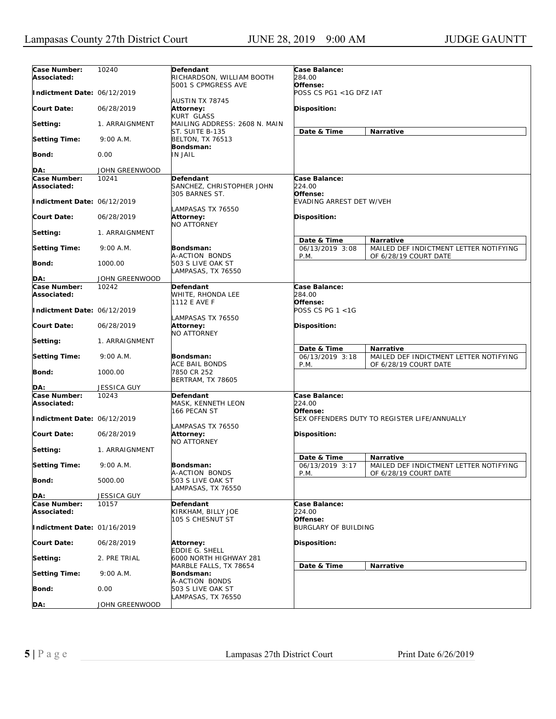| Case Number:<br>Associated: | 10240          | Defendant<br>RICHARDSON, WILLIAM BOOTH           | Case Balance:<br>284.00<br>Offense:                                                        |
|-----------------------------|----------------|--------------------------------------------------|--------------------------------------------------------------------------------------------|
| Indictment Date: 06/12/2019 |                | 5001 S CPMGRESS AVE<br><b>AUSTIN TX 78745</b>    | POSS CS PG1 <1G DFZ IAT                                                                    |
| Court Date:                 | 06/28/2019     | Attorney:<br><b>KURT GLASS</b>                   | Disposition:                                                                               |
| Setting:                    | 1. ARRAIGNMENT | MAILING ADDRESS: 2608 N. MAIN<br>ST. SUITE B-135 | Date & Time<br>Narrative                                                                   |
| <b>Setting Time:</b>        | 9:00 A.M.      | <b>BELTON, TX 76513</b><br>Bondsman:             |                                                                                            |
| Bond:                       | 0.00           | <b>IN JAIL</b>                                   |                                                                                            |
| DA:                         | JOHN GREENWOOD |                                                  |                                                                                            |
| Case Number:                | 10241          | Defendant                                        | Case Balance:                                                                              |
| Associated:                 |                | SANCHEZ, CHRISTOPHER JOHN<br>305 BARNES ST.      | 224.00<br>Offense:                                                                         |
| Indictment Date: 06/12/2019 |                | LAMPASAS TX 76550                                | EVADING ARREST DET W/VEH                                                                   |
| Court Date:                 | 06/28/2019     | <b>Attorney:</b><br><b>NO ATTORNEY</b>           | Disposition:                                                                               |
| Setting:                    | 1. ARRAIGNMENT |                                                  | Date & Time<br><b>Narrative</b>                                                            |
| <b>Setting Time:</b>        | 9:00 A.M.      | Bondsman:<br>A-ACTION BONDS                      | 06/13/2019 3:08<br>MAILED DEF INDICTMENT LETTER NOTIFYING<br>P.M.<br>OF 6/28/19 COURT DATE |
| Bond:                       | 1000.00        | 503 S LIVE OAK ST<br>LAMPASAS, TX 76550          |                                                                                            |
| DA:                         | JOHN GREENWOOD |                                                  |                                                                                            |
| Case Number:                | 10242          | Defendant                                        | Case Balance:                                                                              |
| Associated:                 |                | WHITE, RHONDA LEE<br>1112 E AVE F                | 284.00<br>Offense:                                                                         |
| Indictment Date: 06/12/2019 |                | LAMPASAS TX 76550                                | POSS CS PG 1 <1G                                                                           |
| Court Date:                 | 06/28/2019     | Attorney:<br><b>NO ATTORNEY</b>                  | <b>Disposition:</b>                                                                        |
| Setting:                    | 1. ARRAIGNMENT |                                                  | Date & Time<br><b>Narrative</b>                                                            |
| <b>Setting Time:</b>        | 9:00 A.M.      | Bondsman:<br><b>ACE BAIL BONDS</b>               | 06/13/2019 3:18<br>MAILED DEF INDICTMENT LETTER NOTIFYING<br>P.M.<br>OF 6/28/19 COURT DATE |
| Bond:                       | 1000.00        | 7850 CR 252<br><b>BERTRAM, TX 78605</b>          |                                                                                            |
| DA:                         | JESSICA GUY    |                                                  |                                                                                            |
| Case Number:<br>Associated: | 10243          | Defendant<br>MASK, KENNETH LEON<br>166 PECAN ST  | Case Balance:<br>224.00<br>Offense:                                                        |
| Indictment Date: 06/12/2019 |                | LAMPASAS TX 76550                                | SEX OFFENDERS DUTY TO REGISTER LIFE/ANNUALLY                                               |
| Court Date:                 | 06/28/2019     | <b>Attorney:</b><br><b>NO ATTORNEY</b>           | <b>Disposition:</b>                                                                        |
| Setting:                    | 1. ARRAIGNMENT |                                                  | Date & Time<br>Narrative                                                                   |
| <b>Setting Time:</b>        | 9:00 A.M.      | Bondsman:<br>A-ACTION BONDS                      | 06/13/2019 3:17<br>MAILED DEF INDICTMENT LETTER NOTIFYING<br>P.M.<br>OF 6/28/19 COURT DATE |
| Bond:                       | 5000.00        | 503 S LIVE OAK ST<br>LAMPASAS, TX 76550          |                                                                                            |
| DA:                         | JESSICA GUY    |                                                  |                                                                                            |
| Case Number:                | 10157          | Defendant                                        | Case Balance:                                                                              |
| Associated:                 |                | KIRKHAM, BILLY JOE<br>105 S CHESNUT ST           | 224.00<br>Offense:                                                                         |
| Indictment Date: 01/16/2019 |                |                                                  | <b>BURGLARY OF BUILDING</b>                                                                |
| <b>Court Date:</b>          | 06/28/2019     | <b>Attorney:</b><br>EDDIE G. SHELL               | Disposition:                                                                               |
| Setting:                    | 2. PRE TRIAL   | 6000 NORTH HIGHWAY 281<br>MARBLE FALLS, TX 78654 | Date & Time<br>Narrative                                                                   |
| <b>Setting Time:</b>        | 9:00 A.M.      | Bondsman:<br>A-ACTION BONDS                      |                                                                                            |
| Bond:                       | 0.00           | 503 S LIVE OAK ST<br>LAMPASAS, TX 76550          |                                                                                            |
| DA:                         | JOHN GREENWOOD |                                                  |                                                                                            |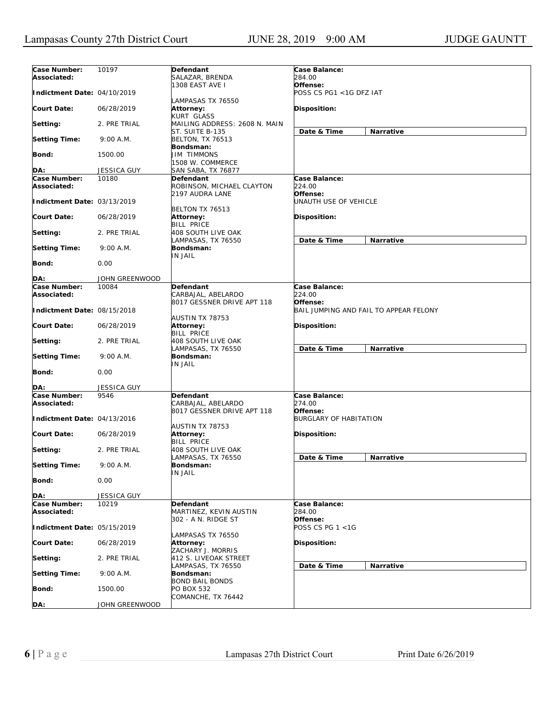| Case Number:<br>Associated: | 10197              | Defendant<br>SALAZAR, BRENDA                            | Case Balance:<br>284.00                            |
|-----------------------------|--------------------|---------------------------------------------------------|----------------------------------------------------|
| Indictment Date: 04/10/2019 |                    | 1308 EAST AVE I                                         | Offense:<br>POSS CS PG1 <1G DFZ IAT                |
| <b>Court Date:</b>          | 06/28/2019         | LAMPASAS TX 76550<br>Attorney:<br>KURT GLASS            | Disposition:                                       |
| Setting:                    | 2. PRE TRIAL       | MAILING ADDRESS: 2608 N. MAIN                           |                                                    |
| <b>Setting Time:</b>        | 9:00 A.M.          | ST. SUITE B-135<br><b>BELTON, TX 76513</b><br>Bondsman: | Narrative<br>Date & Time                           |
| <b>Bond:</b>                | 1500.00            | <b>JIM TIMMONS</b><br>1508 W. COMMERCE                  |                                                    |
| DA:                         | JESSICA GUY        | SAN SABA, TX 76877                                      |                                                    |
| Case Number:                | 10180              | Defendant                                               | Case Balance:                                      |
| Associated:                 |                    | ROBINSON, MICHAEL CLAYTON<br>2197 AUDRA LANE            | 224.00<br>Offense:                                 |
| Indictment Date: 03/13/2019 |                    | BELTON TX 76513                                         | UNAUTH USE OF VEHICLE                              |
| <b>Court Date:</b>          | 06/28/2019         | Attorney:<br><b>BILL PRICE</b>                          | <b>Disposition:</b>                                |
| Setting:                    | 2. PRE TRIAL       | 408 SOUTH LIVE OAK<br>LAMPASAS, TX 76550                | Date & Time<br>Narrative                           |
| <b>Setting Time:</b>        | 9:00 A.M.          | Bondsman:<br>IN JAIL                                    |                                                    |
| Bond:                       | 0.00               |                                                         |                                                    |
| DA:                         | JOHN GREENWOOD     |                                                         |                                                    |
| Case Number:                | 10084              | <b>Defendant</b>                                        | Case Balance:                                      |
| Associated:                 |                    | CARBAJAL, ABELARDO                                      | 224.00                                             |
| Indictment Date: 08/15/2018 |                    | 8017 GESSNER DRIVE APT 118<br>AUSTIN TX 78753           | Offense:<br>BAIL JUMPING AND FAIL TO APPEAR FELONY |
| <b>Court Date:</b>          | 06/28/2019         | Attorney:<br><b>BILL PRICE</b>                          | <b>Disposition:</b>                                |
| Setting:                    | 2. PRE TRIAL       | 408 SOUTH LIVE OAK<br>LAMPASAS, TX 76550                | Date & Time<br>Narrative                           |
| <b>Setting Time:</b>        | 9:00 A.M.          | Bondsman:<br>IN JAIL                                    |                                                    |
| Bond:                       | 0.00               |                                                         |                                                    |
| DA:                         | <b>JESSICA GUY</b> |                                                         |                                                    |
| Case Number:<br>Associated: | 9546               | Defendant<br>CARBAJAL, ABELARDO                         | Case Balance:<br>274.00                            |
| Indictment Date: 04/13/2016 |                    | 8017 GESSNER DRIVE APT 118                              | Offense:<br><b>BURGLARY OF HABITATION</b>          |
| <b>Court Date:</b>          | 06/28/2019         | AUSTIN TX 78753<br>Attorney:                            | <b>Disposition:</b>                                |
| Setting:                    | 2. PRE TRIAL       | <b>BILL PRICE</b><br>408 SOUTH LIVE OAK                 | Date & Time<br>Narrative                           |
| <b>Setting Time:</b>        | 9:00 A.M.          | LAMPASAS, TX 76550<br>Bondsman:                         |                                                    |
| <b>Bond:</b>                | 0.00               | <b>IN JAIL</b>                                          |                                                    |
| DA:                         | <b>JESSICA GUY</b> |                                                         |                                                    |
| Case Number:                | 10219              | Defendant                                               | Case Balance:                                      |
| Associated:                 |                    | MARTINEZ, KEVIN AUSTIN                                  | 284.00                                             |
| Indictment Date: 05/15/2019 |                    | 302 - A N. RIDGE ST                                     | Offense:<br>POSS CS PG 1 <1G                       |
| <b>Court Date:</b>          | 06/28/2019         | LAMPASAS TX 76550<br>Attorney:<br>ZACHARY J. MORRIS     | Disposition:                                       |
| Setting:                    | 2. PRE TRIAL       | 412 S. LIVEOAK STREET<br>LAMPASAS, TX 76550             | Date & Time<br>Narrative                           |
| <b>Setting Time:</b>        | 9:00 A.M.          | Bondsman:<br><b>BOND BAIL BONDS</b>                     |                                                    |
| <b>Bond:</b>                | 1500.00            | PO BOX 532<br>COMANCHE, TX 76442                        |                                                    |
| DA:                         | JOHN GREENWOOD     |                                                         |                                                    |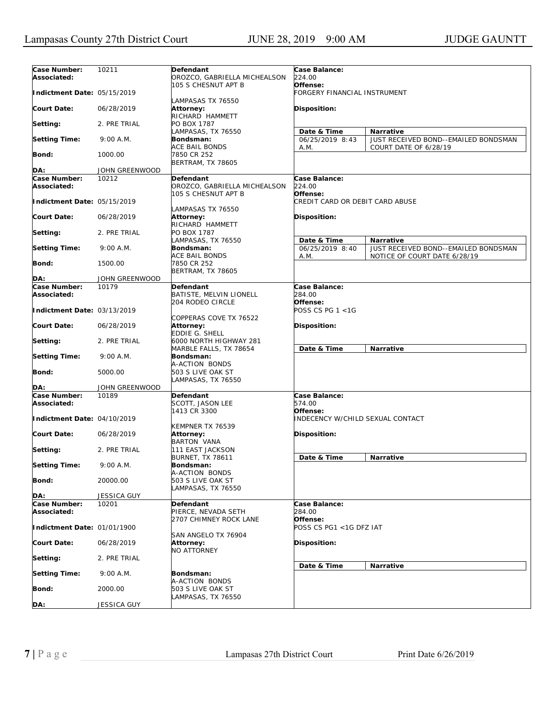| Case Number:                | 10211              | Defendant                               | Case Balance:                    |                                      |
|-----------------------------|--------------------|-----------------------------------------|----------------------------------|--------------------------------------|
| Associated:                 |                    | OROZCO, GABRIELLA MICHEALSON            | 224.00                           |                                      |
|                             |                    | 105 S CHESNUT APT B                     | Offense:                         |                                      |
| Indictment Date: 05/15/2019 |                    |                                         | FORGERY FINANCIAL INSTRUMENT     |                                      |
|                             |                    | LAMPASAS TX 76550                       |                                  |                                      |
| <b>Court Date:</b>          | 06/28/2019         | Attorney:                               | Disposition:                     |                                      |
|                             |                    | RICHARD HAMMETT                         |                                  |                                      |
| Setting:                    | 2. PRE TRIAL       | PO BOX 1787                             |                                  |                                      |
|                             |                    | LAMPASAS, TX 76550                      | Date & Time                      | <b>Narrative</b>                     |
| <b>Setting Time:</b>        | 9:00 A.M.          | Bondsman:                               | 06/25/2019 8:43                  | JUST RECEIVED BOND--EMAILED BONDSMAN |
|                             |                    | ACE BAIL BONDS                          | A.M.                             | COURT DATE OF 6/28/19                |
| Bond:                       | 1000.00            | 7850 CR 252                             |                                  |                                      |
|                             |                    | BERTRAM, TX 78605                       |                                  |                                      |
| DA:                         | JOHN GREENWOOD     |                                         |                                  |                                      |
| Case Number:                | 10212              | Defendant                               | Case Balance:                    |                                      |
| Associated:                 |                    | OROZCO, GABRIELLA MICHEALSON            | 224.00                           |                                      |
|                             |                    | 105 S CHESNUT APT B                     | Offense:                         |                                      |
| Indictment Date: 05/15/2019 |                    |                                         | CREDIT CARD OR DEBIT CARD ABUSE  |                                      |
| <b>Court Date:</b>          | 06/28/2019         | LAMPASAS TX 76550                       |                                  |                                      |
|                             |                    | Attorney:<br>RICHARD HAMMETT            | Disposition:                     |                                      |
| Setting:                    | 2. PRE TRIAL       | PO BOX 1787                             |                                  |                                      |
|                             |                    | LAMPASAS, TX 76550                      | Date & Time                      | Narrative                            |
| <b>Setting Time:</b>        | 9:00 A.M.          | Bondsman:                               | 06/25/2019 8:40                  | JUST RECEIVED BOND--EMAILED BONDSMAN |
|                             |                    | ACE BAIL BONDS                          | A.M.                             | NOTICE OF COURT DATE 6/28/19         |
| Bond:                       | 1500.00            | 7850 CR 252                             |                                  |                                      |
|                             |                    | <b>BERTRAM, TX 78605</b>                |                                  |                                      |
| DA:                         | JOHN GREENWOOD     |                                         |                                  |                                      |
| Case Number:                | 10179              | Defendant                               | Case Balance:                    |                                      |
| Associated:                 |                    | BATISTE, MELVIN LIONELL                 | 284.00                           |                                      |
|                             |                    | 204 RODEO CIRCLE                        | Offense:                         |                                      |
| Indictment Date: 03/13/2019 |                    |                                         | POSS CS PG 1 <1G                 |                                      |
|                             |                    | COPPERAS COVE TX 76522                  |                                  |                                      |
| <b>Court Date:</b>          | 06/28/2019         | Attorney:                               | Disposition:                     |                                      |
|                             |                    | EDDIE G. SHELL                          |                                  |                                      |
| Setting:                    | 2. PRE TRIAL       | 6000 NORTH HIGHWAY 281                  |                                  |                                      |
|                             |                    | MARBLE FALLS, TX 78654                  | Date & Time                      | Narrative                            |
| <b>Setting Time:</b>        | 9:00 A.M.          | Bondsman:                               |                                  |                                      |
|                             | 5000.00            | A-ACTION BONDS                          |                                  |                                      |
| Bond:                       |                    | 503 S LIVE OAK ST<br>LAMPASAS, TX 76550 |                                  |                                      |
| DA:                         | JOHN GREENWOOD     |                                         |                                  |                                      |
| Case Number:                | 10189              | Defendant                               | Case Balance:                    |                                      |
| Associated:                 |                    | SCOTT, JASON LEE                        | 574.00                           |                                      |
|                             |                    | 1413 CR 3300                            | Offense:                         |                                      |
| Indictment Date: 04/10/2019 |                    |                                         | INDECENCY W/CHILD SEXUAL CONTACT |                                      |
|                             |                    | KEMPNER TX 76539                        |                                  |                                      |
| <b>Court Date:</b>          | 06/28/2019         | <b>Attorney:</b>                        | Disposition:                     |                                      |
|                             |                    | <b>BARTON VANA</b>                      |                                  |                                      |
| Setting:                    | 2. PRE TRIAL       | 111 EAST JACKSON                        |                                  |                                      |
|                             |                    | <b>BURNET, TX 78611</b>                 | Date & Time                      | Narrative                            |
| <b>Setting Time:</b>        | 9:00 A.M.          | Bondsman:                               |                                  |                                      |
|                             |                    | A-ACTION BONDS                          |                                  |                                      |
| Bond:                       | 20000.00           | 503 S LIVE OAK ST                       |                                  |                                      |
|                             |                    | AMPASAS, TX 76550                       |                                  |                                      |
| DA:                         | <b>JESSICA GUY</b> |                                         |                                  |                                      |
| Case Number:<br>Associated: | 10201              | Defendant<br>PIERCE, NEVADA SETH        | Case Balance:<br>284.00          |                                      |
|                             |                    | 2707 CHIMNEY ROCK LANE                  | Offense:                         |                                      |
| Indictment Date: 01/01/1900 |                    |                                         | POSS CS PG1 <1G DFZ IAT          |                                      |
|                             |                    | SAN ANGELO TX 76904                     |                                  |                                      |
| <b>Court Date:</b>          | 06/28/2019         | Attorney:                               | Disposition:                     |                                      |
|                             |                    | <b>NO ATTORNEY</b>                      |                                  |                                      |
| Setting:                    | 2. PRE TRIAL       |                                         |                                  |                                      |
|                             |                    |                                         | Date & Time                      | Narrative                            |
| Setting Time:               | 9:00 A.M.          | Bondsman:                               |                                  |                                      |
|                             |                    | A-ACTION BONDS                          |                                  |                                      |
| Bond:                       | 2000.00            | 503 S LIVE OAK ST                       |                                  |                                      |
|                             |                    | LAMPASAS, TX 76550                      |                                  |                                      |
| DA:                         | JESSICA GUY        |                                         |                                  |                                      |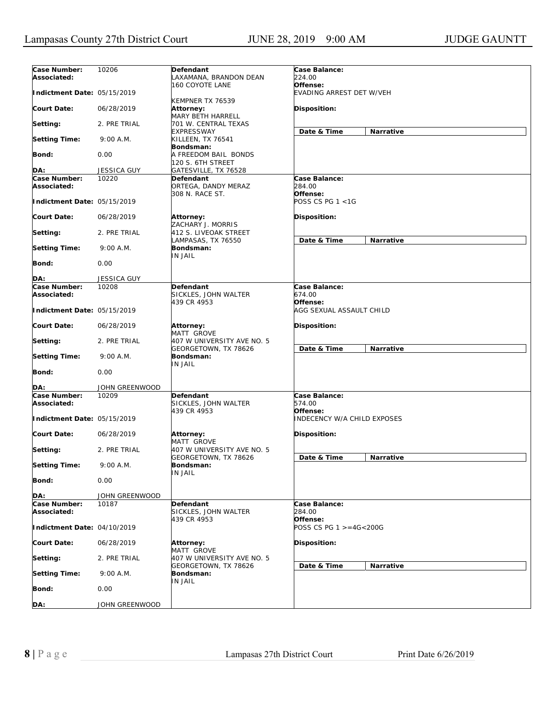| Case Number:<br>Associated:                | 10206              | Defendant<br>LAXAMANA, BRANDON DEAN                | Case Balance:<br>224.00                        |
|--------------------------------------------|--------------------|----------------------------------------------------|------------------------------------------------|
| Indictment Date: 05/15/2019                |                    | 160 COYOTE LANE<br>KEMPNER TX 76539                | Offense:<br>EVADING ARREST DET W/VEH           |
| <b>Court Date:</b>                         | 06/28/2019         | Attorney:<br><b>MARY BETH HARRELL</b>              | Disposition:                                   |
| Setting:                                   | 2. PRE TRIAL       | 701 W. CENTRAL TEXAS<br>EXPRESSWAY                 | Date & Time<br>Narrative                       |
| <b>Setting Time:</b>                       | 9:00 A.M.          | KILLEEN, TX 76541<br>Bondsman:                     |                                                |
| Bond:                                      | 0.00               | A FREEDOM BAIL BONDS<br>120 S. 6TH STREET          |                                                |
| DA:                                        | <b>JESSICA GUY</b> | GATESVILLE, TX 76528                               |                                                |
| Case Number:                               | 10220              | Defendant                                          | Case Balance:                                  |
| Associated:                                |                    | ORTEGA, DANDY MERAZ<br>308 N. RACE ST.             | 284.00<br>Offense:                             |
| Indictment Date: 05/15/2019                |                    |                                                    | POSS CS PG 1 <1G                               |
| Court Date:                                | 06/28/2019         | Attorney:<br>ZACHARY J. MORRIS                     | Disposition:                                   |
| Setting:                                   | 2. PRE TRIAL       | 412 S. LIVEOAK STREET<br>LAMPASAS, TX 76550        | Date & Time<br>Narrative                       |
| <b>Setting Time:</b>                       | 9:00 A.M.          | Bondsman:<br>IN JAIL                               |                                                |
| <b>Bond:</b>                               | 0.00               |                                                    |                                                |
| DA:                                        | <b>JESSICA GUY</b> |                                                    |                                                |
| Case Number:                               | 10208              | Defendant                                          | Case Balance:                                  |
| Associated:<br>Indictment Date: 05/15/2019 |                    | SICKLES, JOHN WALTER<br>439 CR 4953                | 674.00<br>Offense:<br>AGG SEXUAL ASSAULT CHILD |
|                                            |                    |                                                    |                                                |
| <b>Court Date:</b>                         | 06/28/2019         | Attorney:<br>MATT GROVE                            | <b>Disposition:</b>                            |
| Setting:                                   | 2. PRE TRIAL       | 407 W UNIVERSITY AVE NO. 5<br>GEORGETOWN, TX 78626 | Date & Time<br>Narrative                       |
| <b>Setting Time:</b>                       | $9:00$ A.M.        | Bondsman:<br>IN JAIL                               |                                                |
| <b>Bond:</b>                               | 0.00               |                                                    |                                                |
| DA:                                        | JOHN GREENWOOD     |                                                    |                                                |
| Case Number:<br>Associated:                | 10209              | Defendant<br>SICKLES, JOHN WALTER<br>439 CR 4953   | Case Balance:<br>574.00<br>Offense:            |
| Indictment Date: 05/15/2019                |                    |                                                    | <b>INDECENCY W/A CHILD EXPOSES</b>             |
| <b>Court Date:</b>                         | 06/28/2019         | Attorney:<br>MATT GROVE                            | <b>Disposition:</b>                            |
| Setting:                                   | 2. PRE TRIAL       | 407 W UNIVERSITY AVE NO. 5<br>GEORGETOWN, TX 78626 | Date & Time<br>Narrative                       |
| <b>Setting Time:</b>                       | 9:00 A.M.          | Bondsman:<br>IN JAIL                               |                                                |
| <b>Bond:</b>                               | 0.00               |                                                    |                                                |
| DA:                                        | JOHN GREENWOOD     |                                                    |                                                |
| Case Number:<br>Associated:                | 10187              | Defendant<br>SICKLES, JOHN WALTER                  | Case Balance:<br>284.00                        |
| Indictment Date: 04/10/2019                |                    | 439 CR 4953                                        | Offense:<br>POSS CS PG 1 >=4G<200G             |
| <b>Court Date:</b>                         | 06/28/2019         | Attorney:<br>MATT GROVE                            | Disposition:                                   |
| Setting:                                   | 2. PRE TRIAL       | 407 W UNIVERSITY AVE NO. 5<br>GEORGETOWN, TX 78626 | Date & Time<br>Narrative                       |
| <b>Setting Time:</b>                       | 9:00 A.M.          | Bondsman:                                          |                                                |
| Bond:                                      | 0.00               | IN JAIL                                            |                                                |
| DA:                                        | JOHN GREENWOOD     |                                                    |                                                |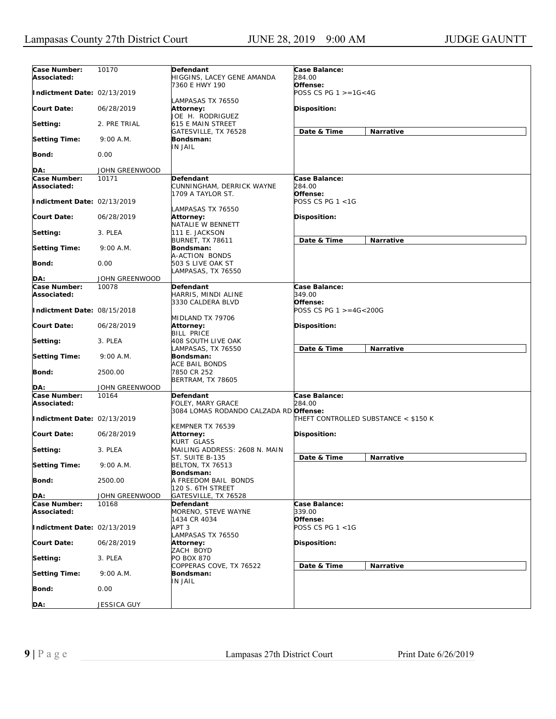| Case Number:                | 10170                   | Defendant                                  | Case Balance:                        |
|-----------------------------|-------------------------|--------------------------------------------|--------------------------------------|
| Associated:                 |                         | HIGGINS, LACEY GENE AMANDA                 | 284.00                               |
| Indictment Date: 02/13/2019 |                         | 7360 E HWY 190                             | Offense:                             |
|                             |                         | LAMPASAS TX 76550                          | POSS CS PG $1 > = 16 < 4G$           |
| <b>Court Date:</b>          | 06/28/2019              | Attorney:                                  | Disposition:                         |
|                             |                         | JOE H. RODRIGUEZ                           |                                      |
| Setting:                    | 2. PRE TRIAL            | 615 E MAIN STREET                          | Narrative                            |
| <b>Setting Time:</b>        | 9:00 A.M.               | GATESVILLE, TX 76528<br>Bondsman:          | Date & Time                          |
|                             |                         | <b>IN JAIL</b>                             |                                      |
| Bond:                       | 0.00                    |                                            |                                      |
| DA:                         | JOHN GREENWOOD          |                                            |                                      |
| Case Number:                | 10171                   | Defendant                                  | Case Balance:                        |
| Associated:                 |                         | CUNNINGHAM, DERRICK WAYNE                  | 284.00                               |
|                             |                         | 1709 A TAYLOR ST.                          | Offense:                             |
| Indictment Date: 02/13/2019 |                         | LAMPASAS TX 76550                          | POSS CS PG $1 < 1G$                  |
| Court Date:                 | 06/28/2019              | Attorney:                                  | Disposition:                         |
|                             |                         | NATALIE W BENNETT                          |                                      |
| Setting:                    | 3. PLEA                 | 111 E. JACKSON                             |                                      |
| <b>Setting Time:</b>        | 9:00 A.M.               | <b>BURNET, TX 78611</b><br>Bondsman:       | Date & Time<br>Narrative             |
|                             |                         | A-ACTION BONDS                             |                                      |
| Bond:                       | 0.00                    | 503 S LIVE OAK ST                          |                                      |
| DA:                         | JOHN GREENWOOD          | LAMPASAS, TX 76550                         |                                      |
| Case Number:                | 10078                   | Defendant                                  | Case Balance:                        |
| Associated:                 |                         | HARRIS, MINDI ALINE                        | 349.00                               |
|                             |                         | 3330 CALDERA BLVD                          | Offense:                             |
| Indictment Date: 08/15/2018 |                         | MIDLAND TX 79706                           | POSS CS PG 1 >=4G<200G               |
| Court Date:                 | 06/28/2019              | Attorney:                                  | Disposition:                         |
|                             |                         | <b>BILL PRICE</b>                          |                                      |
| Setting:                    | 3. PLEA                 | 408 SOUTH LIVE OAK                         |                                      |
| <b>Setting Time:</b>        | 9:00 A.M.               | LAMPASAS, TX 76550<br>Bondsman:            | Date & Time<br>Narrative             |
|                             |                         | ACE BAIL BONDS                             |                                      |
| <b>Bond:</b>                | 2500.00                 | 7850 CR 252                                |                                      |
|                             |                         | BERTRAM, TX 78605                          |                                      |
| DA:<br>Case Number:         | JOHN GREENWOOD<br>10164 | Defendant                                  | Case Balance:                        |
| Associated:                 |                         | FOLEY, MARY GRACE                          | 284.00                               |
|                             |                         | 3084 LOMAS RODANDO CALZADA RD Offense:     |                                      |
| Indictment Date: 02/13/2019 |                         |                                            | THEFT CONTROLLED SUBSTANCE < \$150 K |
| <b>Court Date:</b>          | 06/28/2019              | KEMPNER TX 76539<br>Attorney:              | Disposition:                         |
|                             |                         | KURT GLASS                                 |                                      |
| Setting:                    | 3. PLEA                 | MAILING ADDRESS: 2608 N. MAIN              |                                      |
| <b>Setting Time:</b>        | 9:00 A.M.               | ST. SUITE B-135<br><b>BELTON, TX 76513</b> | Date & Time<br>Narrative             |
|                             |                         | Bondsman:                                  |                                      |
| Bond:                       | 2500.00                 | A FREEDOM BAIL BONDS                       |                                      |
|                             |                         | 120 S. 6TH STREET                          |                                      |
| DA:<br>Case Number:         | JOHN GREENWOOD<br>10168 | GATESVILLE, TX 76528                       | Case Balance:                        |
| Associated:                 |                         | Defendant<br>MORENO, STEVE WAYNE           | 339.00                               |
|                             |                         | 1434 CR 4034                               | Offense:                             |
| Indictment Date: 02/13/2019 |                         | APT <sub>3</sub>                           | POSS CS PG $1 < 1G$                  |
| <b>Court Date:</b>          | 06/28/2019              | LAMPASAS TX 76550<br>Attorney:             | Disposition:                         |
|                             |                         | ZACH BOYD                                  |                                      |
| Setting:                    | 3. PLEA                 | PO BOX 870                                 |                                      |
|                             |                         | COPPERAS COVE, TX 76522                    | Date & Time<br>Narrative             |
| <b>Setting Time:</b>        | 9:00 A.M.               | Bondsman:<br><b>IN JAIL</b>                |                                      |
| Bond:                       | 0.00                    |                                            |                                      |
|                             |                         |                                            |                                      |
| DA:                         | JESSICA GUY             |                                            |                                      |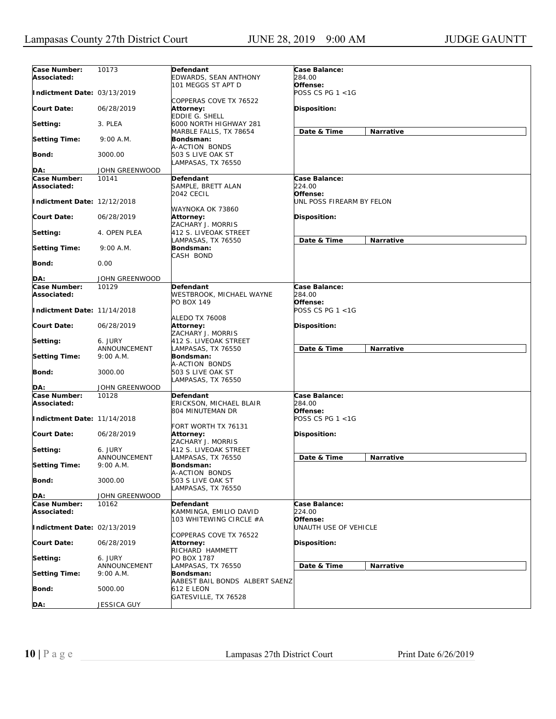| Case Number:                | 10173          | Defendant                      | Case Balance:             |           |
|-----------------------------|----------------|--------------------------------|---------------------------|-----------|
| Associated:                 |                | EDWARDS, SEAN ANTHONY          | 284.00                    |           |
|                             |                | 101 MEGGS ST APT D             | Offense:                  |           |
|                             |                |                                | POSS CS PG 1 <1G          |           |
| Indictment Date: 03/13/2019 |                |                                |                           |           |
|                             |                | COPPERAS COVE TX 76522         |                           |           |
| Court Date:                 | 06/28/2019     | Attorney:                      | Disposition:              |           |
|                             |                | EDDIE G. SHELL                 |                           |           |
| Setting:                    | 3. PLEA        | 6000 NORTH HIGHWAY 281         |                           |           |
|                             |                | MARBLE FALLS, TX 78654         | Date & Time               | Narrative |
|                             |                |                                |                           |           |
| <b>Setting Time:</b>        | 9:00 A.M.      | Bondsman:                      |                           |           |
|                             |                | A-ACTION BONDS                 |                           |           |
| Bond:                       | 3000.00        | 503 S LIVE OAK ST              |                           |           |
|                             |                | LAMPASAS, TX 76550             |                           |           |
| DA:                         | JOHN GREENWOOD |                                |                           |           |
| Case Number:                | 10141          | Defendant                      | Case Balance:             |           |
|                             |                |                                |                           |           |
| Associated:                 |                | SAMPLE, BRETT ALAN             | 224.00                    |           |
|                             |                | 2042 CECIL                     | Offense:                  |           |
| Indictment Date: 12/12/2018 |                |                                | UNL POSS FIREARM BY FELON |           |
|                             |                | WAYNOKA OK 73860               |                           |           |
| Court Date:                 | 06/28/2019     | Attorney:                      | Disposition:              |           |
|                             |                | ZACHARY J. MORRIS              |                           |           |
|                             |                |                                |                           |           |
| Setting:                    | 4. OPEN PLEA   | 412 S. LIVEOAK STREET          |                           |           |
|                             |                | LAMPASAS, TX 76550             | Date & Time               | Narrative |
| <b>Setting Time:</b>        | 9:00 A.M.      | Bondsman:                      |                           |           |
|                             |                | CASH BOND                      |                           |           |
| Bond:                       | 0.00           |                                |                           |           |
|                             |                |                                |                           |           |
|                             |                |                                |                           |           |
| DA:                         | JOHN GREENWOOD |                                |                           |           |
| Case Number:                | 10129          | Defendant                      | Case Balance:             |           |
| Associated:                 |                | WESTBROOK, MICHAEL WAYNE       | 284.00                    |           |
|                             |                | PO BOX 149                     | Offense:                  |           |
| Indictment Date: 11/14/2018 |                |                                | POSS CS PG 1 <1G          |           |
|                             |                | ALEDO TX 76008                 |                           |           |
|                             |                |                                |                           |           |
| <b>Court Date:</b>          | 06/28/2019     | <b>Attorney:</b>               | Disposition:              |           |
|                             |                | ZACHARY J. MORRIS              |                           |           |
| Setting:                    | 6. JURY        | 412 S. LIVEOAK STREET          |                           |           |
|                             | ANNOUNCEMENT   | LAMPASAS, TX 76550             | Date & Time               | Narrative |
| <b>Setting Time:</b>        | 9:00 A.M.      | Bondsman:                      |                           |           |
|                             |                | A-ACTION BONDS                 |                           |           |
|                             |                |                                |                           |           |
| Bond:                       | 3000.00        | 503 S LIVE OAK ST              |                           |           |
|                             |                | LAMPASAS, TX 76550             |                           |           |
| DA:                         | JOHN GREENWOOD |                                |                           |           |
| Case Number:                | 10128          | Defendant                      | Case Balance:             |           |
| Associated:                 |                | ERICKSON, MICHAEL BLAIR        | 284.00                    |           |
|                             |                | 804 MINUTEMAN DR               | Offense:                  |           |
| Indictment Date: 11/14/2018 |                |                                | POSS CS PG 1 <1G          |           |
|                             |                |                                |                           |           |
|                             |                | FORT WORTH TX 76131            |                           |           |
| <b>Court Date:</b>          | 06/28/2019     | Attorney:                      | <b>Disposition:</b>       |           |
|                             |                | ZACHARY J. MORRIS              |                           |           |
| Setting:                    | 6. JURY        | 412 S. LIVEOAK STREET          |                           |           |
|                             | ANNOUNCEMENT   | LAMPASAS, TX 76550             | Date & Time               | Narrative |
| <b>Setting Time:</b>        | 9:00 A.M.      | Bondsman:                      |                           |           |
|                             |                |                                |                           |           |
|                             |                | A-ACTION BONDS                 |                           |           |
| <b>Bond:</b>                | 3000.00        | 503 S LIVE OAK ST              |                           |           |
|                             |                | LAMPASAS, TX 76550             |                           |           |
| DA:                         | JOHN GREENWOOD |                                |                           |           |
| Case Number:                | 10162          | <b>Defendant</b>               | Case Balance:             |           |
| Associated:                 |                | KAMMINGA, EMILIO DAVID         | 224.00                    |           |
|                             |                |                                |                           |           |
|                             |                | 103 WHITEWING CIRCLE #A        | Offense:                  |           |
| Indictment Date: 02/13/2019 |                |                                | UNAUTH USE OF VEHICLE     |           |
|                             |                | COPPERAS COVE TX 76522         |                           |           |
| <b>Court Date:</b>          | 06/28/2019     | Attorney:                      | Disposition:              |           |
|                             |                | RICHARD HAMMETT                |                           |           |
|                             | 6. JURY        | PO BOX 1787                    |                           |           |
| Setting:                    |                |                                |                           |           |
|                             | ANNOUNCEMENT   | LAMPASAS, TX 76550             | Date & Time               | Narrative |
| <b>Setting Time:</b>        | 9:00 A.M.      | Bondsman:                      |                           |           |
|                             |                | AABEST BAIL BONDS ALBERT SAENZ |                           |           |
| <b>Bond:</b>                | 5000.00        | 612 E LEON                     |                           |           |
|                             |                | GATESVILLE, TX 76528           |                           |           |
| DA:                         | JESSICA GUY    |                                |                           |           |
|                             |                |                                |                           |           |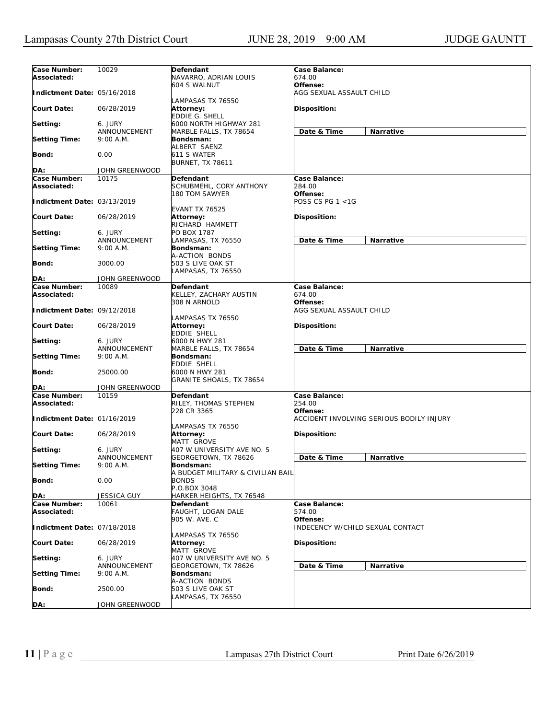| Case Number:                | 10029          | Defendant                         | Case Balance:                            |
|-----------------------------|----------------|-----------------------------------|------------------------------------------|
| Associated:                 |                | NAVARRO, ADRIAN LOUIS             | 674.00                                   |
|                             |                | 604 S WALNUT                      | Offense:                                 |
| Indictment Date: 05/16/2018 |                |                                   | AGG SEXUAL ASSAULT CHILD                 |
|                             |                | LAMPASAS TX 76550                 |                                          |
| <b>Court Date:</b>          | 06/28/2019     | Attorney:                         | Disposition:                             |
|                             |                | <b>EDDIE G. SHELL</b>             |                                          |
| Setting:                    | 6. JURY        | 6000 NORTH HIGHWAY 281            |                                          |
|                             | ANNOUNCEMENT   | MARBLE FALLS, TX 78654            | Date & Time<br>Narrative                 |
| <b>Setting Time:</b>        | 9:00 A.M.      | Bondsman:                         |                                          |
|                             |                | ALBERT SAENZ                      |                                          |
|                             |                |                                   |                                          |
| Bond:                       | 0.00           | 611 S WATER                       |                                          |
|                             |                | <b>BURNET, TX 78611</b>           |                                          |
| DA:                         | JOHN GREENWOOD |                                   |                                          |
| Case Number:                | 10175          | Defendant                         | Case Balance:                            |
| Associated:                 |                | SCHUBMEHL, CORY ANTHONY           | 284.00                                   |
|                             |                | 180 TOM SAWYER                    | Offense:                                 |
| Indictment Date: 03/13/2019 |                |                                   | POSS CS PG 1 <1G                         |
|                             |                | <b>EVANT TX 76525</b>             |                                          |
| Court Date:                 | 06/28/2019     | Attorney:                         | Disposition:                             |
|                             |                | RICHARD HAMMETT                   |                                          |
|                             |                |                                   |                                          |
| Setting:                    | 6. JURY        | PO BOX 1787                       |                                          |
|                             | ANNOUNCEMENT   | LAMPASAS, TX 76550                | Date & Time<br>Narrative                 |
| <b>Setting Time:</b>        | 9:00 A.M.      | Bondsman:                         |                                          |
|                             |                | A-ACTION BONDS                    |                                          |
| Bond:                       | 3000.00        | 503 S LIVE OAK ST                 |                                          |
|                             |                | LAMPASAS, TX 76550                |                                          |
| DA:                         | JOHN GREENWOOD |                                   |                                          |
| Case Number:                | 10089          | <b>Defendant</b>                  | Case Balance:                            |
| Associated:                 |                | KELLEY, ZACHARY AUSTIN            | 674.00                                   |
|                             |                | 308 N ARNOLD                      | Offense:                                 |
|                             |                |                                   |                                          |
| Indictment Date: 09/12/2018 |                |                                   | AGG SEXUAL ASSAULT CHILD                 |
|                             |                | LAMPASAS TX 76550                 |                                          |
| Court Date:                 | 06/28/2019     | <b>Attorney:</b>                  | Disposition:                             |
|                             |                | EDDIE SHELL                       |                                          |
| Setting:                    | 6. JURY        | 6000 N HWY 281                    |                                          |
|                             | ANNOUNCEMENT   | MARBLE FALLS, TX 78654            | Date & Time<br><b>Narrative</b>          |
| <b>Setting Time:</b>        | 9:00 A.M.      | Bondsman:                         |                                          |
|                             |                | EDDIE SHELL                       |                                          |
| <b>Bond:</b>                | 25000.00       | 6000 N HWY 281                    |                                          |
|                             |                | GRANITE SHOALS, TX 78654          |                                          |
|                             |                |                                   |                                          |
| DA:                         | JOHN GREENWOOD |                                   |                                          |
| Case Number:                | 10159          | Defendant                         | Case Balance:                            |
| Associated:                 |                | RILEY, THOMAS STEPHEN             | 254.00                                   |
|                             |                | 228 CR 3365                       | Offense:                                 |
| Indictment Date: 01/16/2019 |                |                                   | ACCIDENT INVOLVING SERIOUS BODILY INJURY |
|                             |                | LAMPASAS TX 76550                 |                                          |
| <b>Court Date:</b>          | 06/28/2019     | Attorney:                         | <b>Disposition:</b>                      |
|                             |                | MATT GROVE                        |                                          |
| Setting:                    | 6. JURY        | 407 W UNIVERSITY AVE NO. 5        |                                          |
|                             | ANNOUNCEMENT   | GEORGETOWN, TX 78626              | Date & Time<br>Narrative                 |
| <b>Setting Time:</b>        | 9:00 A.M.      | Bondsman:                         |                                          |
|                             |                |                                   |                                          |
|                             |                | A BUDGET MILITARY & CIVILIAN BAIL |                                          |
| Bond:                       | 0.00           | <b>BONDS</b>                      |                                          |
|                             |                | P.O.BOX 3048                      |                                          |
| DA:                         | JESSICA GUY    | HARKER HEIGHTS, TX 76548          |                                          |
| Case Number:                | 10061          | <b>Defendant</b>                  | Case Balance:                            |
| Associated:                 |                | FAUGHT, LOGAN DALE                | 574.00                                   |
|                             |                | 905 W. AVE. C                     | Offense:                                 |
| Indictment Date: 07/18/2018 |                |                                   | INDECENCY W/CHILD SEXUAL CONTACT         |
|                             |                | LAMPASAS TX 76550                 |                                          |
| <b>Court Date:</b>          | 06/28/2019     |                                   | Disposition:                             |
|                             |                | Attorney:                         |                                          |
|                             |                | MATT GROVE                        |                                          |
| Setting:                    | 6. JURY        | 407 W UNIVERSITY AVE NO. 5        |                                          |
|                             | ANNOUNCEMENT   | GEORGETOWN, TX 78626              | Date & Time<br>Narrative                 |
| <b>Setting Time:</b>        | 9:00 A.M.      | Bondsman:                         |                                          |
|                             |                | A-ACTION BONDS                    |                                          |
| Bond:                       | 2500.00        | 503 S LIVE OAK ST                 |                                          |
|                             |                | LAMPASAS, TX 76550                |                                          |
| DA:                         | JOHN GREENWOOD |                                   |                                          |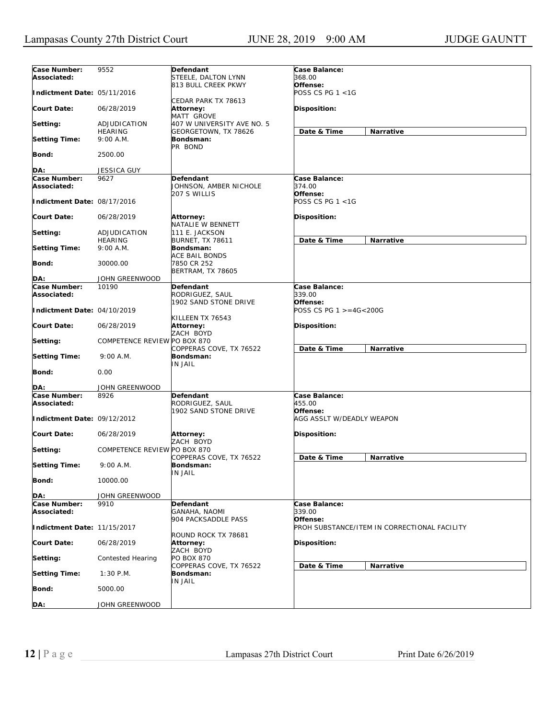| Case Number:<br>Associated: | 9552                         | Defendant<br>STEELE, DALTON LYNN                          | Case Balance:<br>368.00                                  |
|-----------------------------|------------------------------|-----------------------------------------------------------|----------------------------------------------------------|
| Indictment Date: 05/11/2016 |                              | 813 BULL CREEK PKWY                                       | Offense:<br>POSS CS PG 1 <1G                             |
| <b>Court Date:</b>          | 06/28/2019                   | CEDAR PARK TX 78613<br>Attorney:<br><b>MATT GROVE</b>     | Disposition:                                             |
| Setting:                    | ADJUDICATION                 | 407 W UNIVERSITY AVE NO. 5                                |                                                          |
| <b>Setting Time:</b>        | <b>HEARING</b><br>9:00 A.M.  | GEORGETOWN, TX 78626<br>Bondsman:                         | Date & Time<br>Narrative                                 |
| Bond:                       | 2500.00                      | PR BOND                                                   |                                                          |
| DA:                         | <b>JESSICA GUY</b>           |                                                           |                                                          |
| Case Number:                | 9627                         | Defendant                                                 | Case Balance:                                            |
| Associated:                 |                              | JOHNSON, AMBER NICHOLE<br>207 S WILLIS                    | 374.00<br>Offense:                                       |
| Indictment Date: 08/17/2016 |                              |                                                           | POSS CS PG $1 < 1G$                                      |
| <b>Court Date:</b>          | 06/28/2019                   | Attorney:<br>NATALIE W BENNETT                            | Disposition:                                             |
| Setting:                    | ADJUDICATION                 | 111 E. JACKSON                                            |                                                          |
|                             | <b>HEARING</b>               | <b>BURNET, TX 78611</b>                                   | Date & Time<br>Narrative                                 |
| <b>Setting Time:</b>        | 9:00 A.M.                    | Bondsman:                                                 |                                                          |
| Bond:                       | 30000.00                     | ACE BAIL BONDS<br>7850 CR 252<br><b>BERTRAM, TX 78605</b> |                                                          |
| DA:                         | JOHN GREENWOOD               |                                                           |                                                          |
| Case Number:                | 10190                        | Defendant                                                 | Case Balance:                                            |
| Associated:                 |                              | RODRIGUEZ, SAUL                                           | 339.00                                                   |
| Indictment Date: 04/10/2019 |                              | 1902 SAND STONE DRIVE<br>KILLEEN TX 76543                 | Offense:<br>POSS CS PG 1 >=4G<200G                       |
| <b>Court Date:</b>          | 06/28/2019                   | Attorney:<br>ZACH BOYD                                    | Disposition:                                             |
| Setting:                    | COMPETENCE REVIEW PO BOX 870 | COPPERAS COVE, TX 76522                                   | Date & Time<br>Narrative                                 |
| <b>Setting Time:</b>        | 9:00 A.M.                    | Bondsman:<br>IN JAIL                                      |                                                          |
| <b>Bond:</b>                | 0.00                         |                                                           |                                                          |
| DA:                         | JOHN GREENWOOD               |                                                           |                                                          |
| Case Number:<br>Associated: | 8926                         | Defendant<br>RODRIGUEZ, SAUL                              | Case Balance:<br>455.00                                  |
| Indictment Date: 09/12/2012 |                              | 1902 SAND STONE DRIVE                                     | Offense:<br>AGG ASSLT W/DEADLY WEAPON                    |
| <b>Court Date:</b>          | 06/28/2019                   | Attorney:<br>ZACH BOYD                                    | Disposition:                                             |
| Setting:                    | COMPETENCE REVIEW PO BOX 870 | COPPERAS COVE, TX 76522                                   | Date & Time<br><b>Narrative</b>                          |
| <b>Setting Time:</b>        | 9:00 A.M.                    | Bondsman:<br>IN JAIL                                      |                                                          |
| Bond:                       | 10000.00                     |                                                           |                                                          |
| DA:                         | JOHN GREENWOOD               |                                                           |                                                          |
| Case Number:                | 9910                         | Defendant                                                 | Case Balance:                                            |
| Associated:                 |                              | <b>GANAHA, NAOMI</b>                                      | 339.00                                                   |
| Indictment Date: 11/15/2017 |                              | 904 PACKSADDLE PASS                                       | Offense:<br>PROH SUBSTANCE/ITEM IN CORRECTIONAL FACILITY |
| <b>Court Date:</b>          | 06/28/2019                   | ROUND ROCK TX 78681<br>Attorney:<br>ZACH BOYD             | Disposition:                                             |
| Setting:                    | <b>Contested Hearing</b>     | <b>PO BOX 870</b>                                         |                                                          |
| <b>Setting Time:</b>        | $1:30$ P.M.                  | COPPERAS COVE, TX 76522<br>Bondsman:                      | Date & Time<br>Narrative                                 |
| Bond:                       | 5000.00                      | <b>IN JAIL</b>                                            |                                                          |
| DA:                         | JOHN GREENWOOD               |                                                           |                                                          |